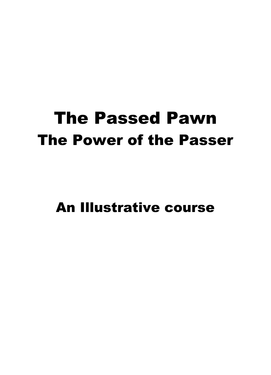# The Passed Pawn The Power of the Passer

An Illustrative course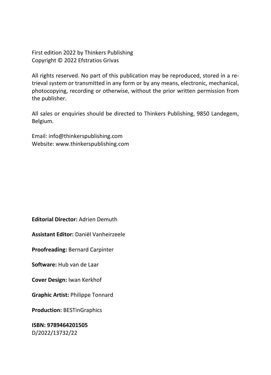First edition 2022 by Thinkers Publishing Copyright © 2022 Efstratios Grivas

All rights reserved. No part of this publication may be reproduced, stored in a retrieval system or transmitted in any form or by any means, electronic, mechanical, photocopying, recording or otherwise, without the prior written permission from the publisher.

All sales or enquiries should be directed to Thinkers Publishing, 9850 Landegem, Belgium.

Email: info@thinkerspublishing.com Website: www.thinkerspublishing.com

**Editorial Director:** Adrien Demuth

**Assistant Editor:** Daniël Vanheirzeele

**Proofreading:** Bernard Carpinter

**Software:** Hub van de Laar

**Cover Design:** Iwan Kerkhof

**Graphic Artist:** Philippe Tonnard

**Production:** BESTinGraphics

**ISBN: 9789464201505** D/2022/13732/22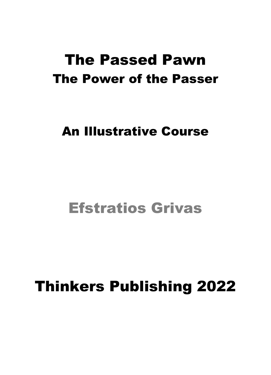## The Passed Pawn The Power of the Passer

## An Illustrative Course

## Efstratios Grivas

# Thinkers Publishing 2022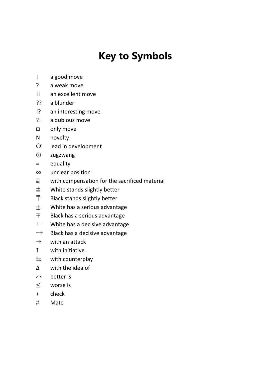## **Key to Symbols**

- ! a good move
- ? a weak move
- !! an excellent move
- ?? a blunder
- !? an interesting move
- ?! a dubious move
- □ only move
- N novelty
- $\mathbb{C}$  lead in development
- ⨀ zugzwang
- = equality
- ∞ unclear position
- $\bar{z}$  with compensation for the sacrificed material
- $\pm$  White stands slightly better<br>  $\overline{\mp}$  Black stands slightly better
- Black stands slightly better
- $\pm$  White has a serious advantage<br> $\mp$  Black has a serious advantage
- Black has a serious advantage
- $+-$  White has a decisive advantage
- $-+$  Black has a decisive advantage
- $\rightarrow$  with an attack
- ↑ with initiative
- $\leq$  with counterplay
- ∆ with the idea of
- $\sim$  better is
- ≤ worse is
- + check
- # Mate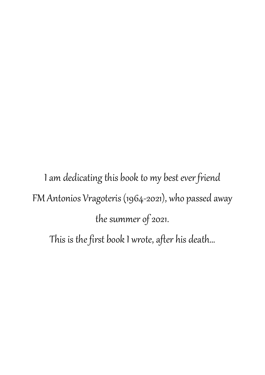I am dedicating this book to my best ever friend FM Antonios Vragoteris (1964-2021), who passed away the summer of 2021. This is the first book I wrote, after his death…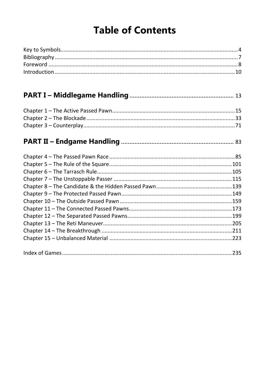## **Table of Contents**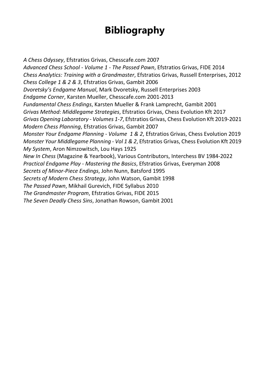## **Bibliography**

*A Chess Odyssey*, Efstratios Grivas, Chesscafe.com 2007 *Advanced Chess School - Volume 1 - The Passed Pawn*, Efstratios Grivas, FIDE 2014 *Chess Analytics: Training with a Grandmaster*, Efstratios Grivas, Russell Enterprises, 2012 *Chess College 1 & 2 & 3*, Efstratios Grivas, Gambit 2006 *Dvoretsky's Endgame Manual*, Mark Dvoretsky, Russell Enterprises 2003 *Endgame Corner*, Karsten Mueller, Chesscafe.com 2001-2013 *Fundamental Chess Endings*, Karsten Mueller & Frank Lamprecht, Gambit 2001 *Grivas Method: Middlegame Strategies*, Efstratios Grivas, Chess Evolution Kft 2017 *Grivas Opening Laboratory - Volumes 1-7*, Efstratios Grivas, Chess Evolution Kft 2019-2021 *Modern Chess Planning*, Efstratios Grivas, Gambit 2007 *Monster Your Endgame Planning - Volume 1 & 2*, Efstratios Grivas, Chess Evolution 2019 *Monster Your Middlegame Planning - Vol 1 & 2*, Efstratios Grivas, Chess Evolution Kft 2019 *My System*, Aron Nimzowitsch, Lou Hays 1925 *New In Chess* (Magazine & Yearbook), Various Contributors, Interchess BV 1984-2022 *Practical Endgame Play - Mastering the Basics*, Efstratios Grivas, Everyman 2008 *Secrets of Minor-Piece Endings*, John Nunn, Batsford 1995 *Secrets of Modern Chess Strategy*, John Watson, Gambit 1998 *The Passed Pawn*, Mikhail Gurevich, FIDE Syllabus 2010 *The Grandmaster Program*, Efstratios Grivas, FIDE 2015 *The Seven Deadly Chess Sins*, Jonathan Rowson, Gambit 2001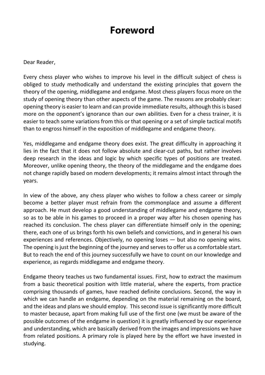### **Foreword**

#### Dear Reader,

Every chess player who wishes to improve his level in the difficult subject of chess is obliged to study methodically and understand the existing principles that govern the theory of the opening, middlegame and endgame. Most chess players focus more on the study of opening theory than other aspects of the game. The reasons are probably clear: opening theory is easier to learn and can provide immediate results, although this is based more on the opponent's ignorance than our own abilities. Even for a chess trainer, it is easier to teach some variations from this or that opening or a set of simple tactical motifs than to engross himself in the exposition of middlegame and endgame theory.

Yes, middlegame and endgame theory does exist. The great difficulty in approaching it lies in the fact that it does not follow absolute and clear-cut paths, but rather involves deep research in the ideas and logic by which specific types of positions are treated. Moreover, unlike opening theory, the theory of the middlegame and the endgame does not change rapidly based on modern developments; it remains almost intact through the years.

In view of the above, any chess player who wishes to follow a chess career or simply become a better player must refrain from the commonplace and assume a different approach. He must develop a good understanding of middlegame and endgame theory, so as to be able in his games to proceed in a proper way after his chosen opening has reached its conclusion. The chess player can differentiate himself only in the opening; there, each one of us brings forth his own beliefs and convictions, and in general his own experiences and references. Objectively, no opening loses — but also no opening wins. The opening is just the beginning of the journey and serves to offer us a comfortable start. But to reach the end of this journey successfully we have to count on our knowledge and experience, as regards middlegame and endgame theory.

Endgame theory teaches us two fundamental issues. First, how to extract the maximum from a basic theoretical position with little material, where the experts, from practice comprising thousands of games, have reached definite conclusions. Second, the way in which we can handle an endgame, depending on the material remaining on the board, and the ideas and plans we should employ. This second issue is significantly more difficult to master because, apart from making full use of the first one (we must be aware of the possible outcomes of the endgame in question) it is greatly influenced by our experience and understanding, which are basically derived from the images and impressions we have from related positions. A primary role is played here by the effort we have invested in studying.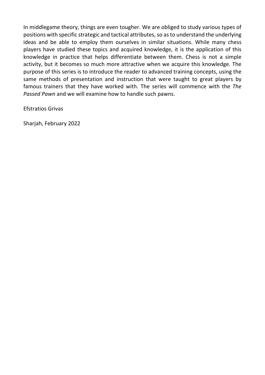In middlegame theory, things are even tougher. We are obliged to study various types of positions with specific strategic and tactical attributes, so as to understand the underlying ideas and be able to employ them ourselves in similar situations. While many chess players have studied these topics and acquired knowledge, it is the application of this knowledge in practice that helps differentiate between them. Chess is not a simple activity, but it becomes so much more attractive when we acquire this knowledge. The purpose of this series is to introduce the reader to advanced training concepts, using the same methods of presentation and instruction that were taught to great players by famous trainers that they have worked with. The series will commence with the *The Passed Pawn* and we will examine how to handle such pawns.

Efstratios Grivas

Sharjah, February 2022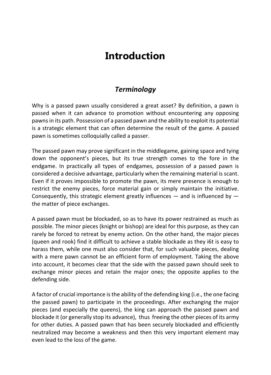### **Introduction**

#### *Terminology*

Why is a passed pawn usually considered a great asset? By definition, a pawn is passed when it can advance to promotion without encountering any opposing pawns in its path. Possession of a passed pawn and the ability to exploit its potential is a strategic element that can often determine the result of the game. A passed pawn is sometimes colloquially called a passer.

The passed pawn may prove significant in the middlegame, gaining space and tying down the opponent's pieces, but its true strength comes to the fore in the endgame. In practically all types of endgames, possession of a passed pawn is considered a decisive advantage, particularly when the remaining material is scant. Even if it proves impossible to promote the pawn, its mere presence is enough to restrict the enemy pieces, force material gain or simply maintain the initiative. Consequently, this strategic element greatly influences  $-$  and is influenced by  $$ the matter of piece exchanges.

A passed pawn must be blockaded, so as to have its power restrained as much as possible. The minor pieces (knight or bishop) are ideal for this purpose, as they can rarely be forced to retreat by enemy action. On the other hand, the major pieces (queen and rook) find it difficult to achieve a stable blockade as they i6t is easy to harass them, while one must also consider that, for such valuable pieces, dealing with a mere pawn cannot be an efficient form of employment. Taking the above into account, it becomes clear that the side with the passed pawn should seek to exchange minor pieces and retain the major ones; the opposite applies to the defending side.

A factor of crucial importance is the ability of the defending king (i.e., the one facing the passed pawn) to participate in the proceedings. After exchanging the major pieces (and especially the queens), the king can approach the passed pawn and blockade it (or generally stop its advance), thus freeing the other pieces of its army for other duties. A passed pawn that has been securely blockaded and efficiently neutralized may become a weakness and then this very important element may even lead to the loss of the game.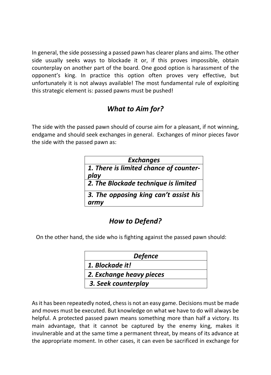In general, the side possessing a passed pawn has clearer plans and aims. The other side usually seeks ways to blockade it or, if this proves impossible, obtain counterplay on another part of the board. One good option is harassment of the opponent's king. In practice this option often proves very effective, but unfortunately it is not always available! The most fundamental rule of exploiting this strategic element is: passed pawns must be pushed!

#### *What to Aim for?*

The side with the passed pawn should of course aim for a pleasant, if not winning, endgame and should seek exchanges in general. Exchanges of minor pieces favor the side with the passed pawn as:

| <b>Exchanges</b>                               |
|------------------------------------------------|
| 1. There is limited chance of counter-<br>play |
| 2. The Blockade technique is limited           |
| 3. The opposing king can't assist his<br>army  |

#### *How to Defend?*

On the other hand, the side who is fighting against the passed pawn should:

| <b>Defence</b>           |
|--------------------------|
| 1. Blockade it!          |
| 2. Exchange heavy pieces |
| 3. Seek counterplay      |

As it has been repeatedly noted, chess is not an easy game. Decisions must be made and moves must be executed. But knowledge on what we have to do will always be helpful. A protected passed pawn means something more than half a victory. Its main advantage, that it cannot be captured by the enemy king, makes it invulnerable and at the same time a permanent threat, by means of its advance at the appropriate moment. In other cases, it can even be sacrificed in exchange for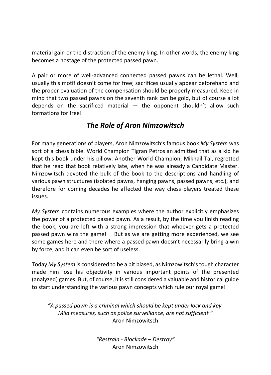material gain or the distraction of the enemy king. In other words, the enemy king becomes a hostage of the protected passed pawn.

A pair or more of well-advanced connected passed pawns can be lethal. Well, usually this motif doesn't come for free; sacrifices usually appear beforehand and the proper evaluation of the compensation should be properly measured. Keep in mind that two passed pawns on the seventh rank can be gold, but of course a lot depends on the sacrificed material — the opponent shouldn't allow such formations for free!

#### *The Role of Aron Nimzowitsch*

For many generations of players, Aron Nimzowitsch's famous book *My System* was sort of a chess bible. World Champion Tigran Petrosian admitted that as a kid he kept this book under his pillow. Another World Champion, Mikhail Tal, regretted that he read that book relatively late, when he was already a Candidate Master. Nimzowitsch devoted the bulk of the book to the descriptions and handling of various pawn structures (isolated pawns, hanging pawns, passed pawns, etc.), and therefore for coming decades he affected the way chess players treated these issues.

*My System* contains numerous examples where the author explicitly emphasizes the power of a protected passed pawn. As a result, by the time you finish reading the book, you are left with a strong impression that whoever gets a protected passed pawn wins the game! But as we are getting more experienced, we see some games here and there where a passed pawn doesn't necessarily bring a win by force, and it can even be sort of useless.

Today *My System* is considered to be a bit biased, as Nimzowitsch'stough character made him lose his objectivity in various important points of the presented (analyzed) games. But, of course, it is still considered a valuable and historical guide to start understanding the various pawn concepts which rule our royal game!

*"A passed pawn is a criminal which should be kept under lock and key. Mild measures, such as police surveillance, are not sufficient."* Aron Nimzowitsch

> *"Restrain - Blockade – Destroy"* Aron Nimzowitsch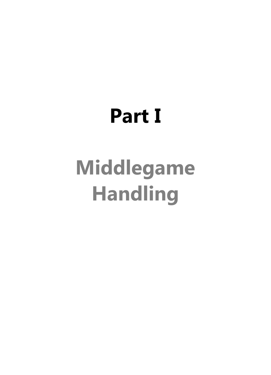# **Part I**

# **Middlegame Handling**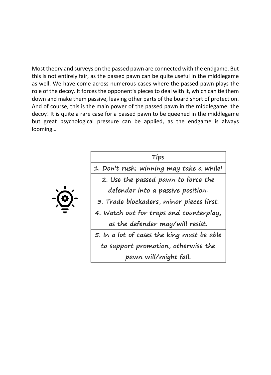Most theory and surveys on the passed pawn are connected with the endgame. But this is not entirely fair, as the passed pawn can be quite useful in the middlegame as well. We have come across numerous cases where the passed pawn plays the role of the decoy. It forces the opponent's pieces to deal with it, which can tie them down and make them passive, leaving other parts of the board short of protection. And of course, this is the main power of the passed pawn in the middlegame: the decoy! It is quite a rare case for a passed pawn to be queened in the middlegame but great psychological pressure can be applied, as the endgame is always looming…

|--|

| Tips                                       |
|--------------------------------------------|
| 1. Don't rush; winning may take a while!   |
| 2. Use the passed pawn to force the        |
| defender into a passive position.          |
| 3. Trade blockaders, minor pieces first.   |
| 4. Watch out for traps and counterplay,    |
| as the defender may/will resist.           |
| 5. In a lot of cases the king must be able |
| to support promotion, otherwise the        |
| pawn will/might fall.                      |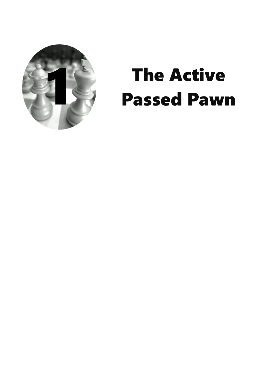

# The Active<br>Passed Paw Passed Pawn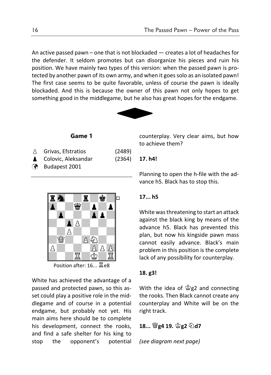An active passed pawn – one that is not blockaded — creates a lot of headaches for the defender. It seldom promotes but can disorganize his pieces and ruin his position. We have mainly two types of this version: when the passed pawn is protected by another pawn of its own army, and when it goes solo as an isolated pawn! The first case seems to be quite favorable, unless of course the pawn is ideally blockaded. And this is because the owner of this pawn not only hopes to get something good in the middlegame, but he also has great hopes for the endgame.



#### **Game 1**

| A | Grivas, Efstratios     | (2489) |
|---|------------------------|--------|
|   | Colovic, Aleksandar    | (2364) |
|   | <b>3</b> Budapest 2001 |        |



Position after: 16... 耳e8

White has achieved the advantage of a passed and protected pawn, so this asset could play a positive role in the middlegame and of course in a potential endgame, but probably not yet. His main aims here should be to complete his development, connect the rooks, and find a safe shelter for his king to stop the opponent's potential counterplay. Very clear aims, but how to achieve them?

#### **17. h4!**

Planning to open the h-file with the advance h5. Black has to stop this.

#### **17... h5**

White was threatening to start an attack against the black king by means of the advance h5. Black has prevented this plan, but now his kingside pawn mass cannot easily advance. Black's main problem in this position is the complete lack of any possibility for counterplay.

#### **18. g3!**

With the idea of  $\mathcal{L}_g$  and connecting the rooks. Then Black cannot create any counterplay and White will be on the right track.

**18... <sup>����</sup>g4 19.**  $\hat{\otimes}$ g2 公d7

*(see diagram next page)*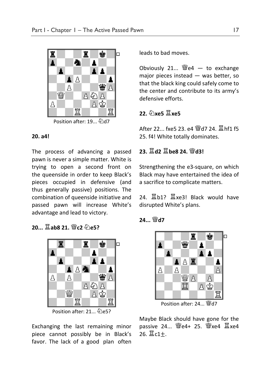

#### **20. a4!**

The process of advancing a passed pawn is never a simple matter. White is trying to open a second front on the queenside in order to keep Black's pieces occupied in defensive (and thus generally passive) positions. The combination of queenside initiative and passed pawn will increase White's advantage and lead to victory.

**20... 耳ab8 21. 彎c2 のe52** 



Position after: 21... 2e5?

Exchanging the last remaining minor piece cannot possibly be in Black's favor. The lack of a good plan often leads to bad moves.

Obviously 21...  $\mathbb{W}$ e4 — to exchange major pieces instead — was better, so that the black king could safely come to the center and contribute to its army's defensive efforts.

#### **22. 幻xe5 国xe5**

After 22. fxe5 23. e4 彎d7 24. 耳hf1 f5 25. f4! White totally dominates.

#### **23. 冨d2 冨be8 24. 彎d3!**

Strengthening the e3-square, on which Black may have entertained the idea of a sacrifice to complicate matters.

24. 国b1?  $\Xi$ xe3! Black would have disrupted White's plans.

24... <sup>幽</sup>d7



Position after: 24... 曾d7

Maybe Black should have gone for the passive 24...  $\mathcal{Q}$ e4+ 25.  $\mathcal{Q}$ xe4  $\Xi$ xe4  $26. \ \tilde{\mathbb{Z}}$ c1+.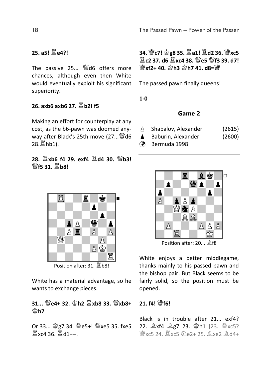#### **25. a5!** R**e4?!**

The passive 25...  $\ddot{w}$ d6 offers more chances, although even then White would eventually exploit his significant superiority.

#### **26. axb6 axb6 27.** R**b2! f5**

Making an effort for counterplay at any cost, as the b6-pawn was doomed anyway after Black's 25th move (27... Wd6 28.  $\Xi$ hh1).

**28.**  $\Xi$ xb6 f4 29. exf4  $\Xi$ d4 30. 營b3! <sup>W</sup>f5 31.  $\Xi$ h8!



Position after: 31. <sup>2</sup>b8!

White has a material advantage, so he wants to exchange pieces.

#### **31...** Q**e4+ 32.** K**h2** R**xb8 33.** Q**xb8+**  K**h7**

Or 33... \$g7 34. <sup>[9]</sup>e5+! <sup>[9]</sup>xe5 35. fxe5  $\Xi$  xc4 36.  $\Xi$ d1+–

**34.** Q**c7!** K**g8 35.** R**a1!** R**d2 36.** Q**xc5**   $\Xi$  c2 37. d6  $\Xi$  xc4 38.  $\mathcal{Q}_P$ 5  $\mathcal{Q}_P$ f3 39. d7!  $\mathbb{W}$ xf2+ 40.  $\Phi$ h3  $\Phi$ h7 41. d8= $\mathbb{W}$ 

The passed pawn finally queens!

**1-0**

#### **Game 2**

- A Shabalov, Alexander (2615)
- **A** Baburin, Alexander (2600)
- Bermuda 1998



Position after: 20...  $\xi$ f8

White enjoys a better middlegame, thanks mainly to his passed pawn and the bishop pair. But Black seems to be fairly solid, so the position must be opened.

#### $21. f4!$  W $f6!$

Black is in trouble after 21... exf4? 22. gxf4 gg7 23. 宫h1 [23. @xc5? 灣xc5 24.  $\Xi$ xc5  $\hat{\varphi}$ le2+ 25.  $\hat{\varphi}$ xe2  $\hat{\varphi}$ d4+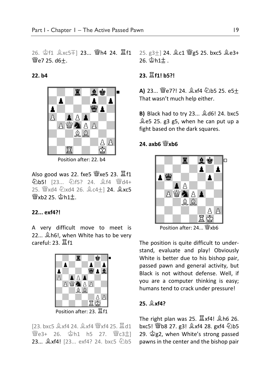26. <sup>查f1</sup> 2xc5∓] 23... 彎h4 24. 耳f1  $We7 25. d6+$ .

**22. b4**



Position after: 22. b4

Also good was 22. fxe5  $\mathcal{W}$ xe5 23.  $\Xi$ f1 公b5! [23... 公f5? 24. gf4 曾d4+ 25.  $\mathbb{E}$ xd4  $\mathbb{Z}$ xd4 26.  $\mathbb{Z}$ c4+1 24.  $\mathbb{Z}$ xc5  $\mathcal{W}$ xb2 25.  $\mathcal{Q}$ h1 $\pm$ .

#### **22... exf4?!**

A very difficult move to meet is 22...  $\triangle$ h6!, when White has to be very careful:  $23. 21$ 



[23. bxc5  $\&$ xf4 24.  $\&$ xf4  $\&$ xf4 25.  $\&$ d1 <sup>彎</sup>e3+ 26. \$h1 h5 27. 彎c3±l **23...**  $\&$  xf4! [23... exf4? 24. bxc5  $\&$  b5

25. g3+] 24.  $2c1$   $\mathscr{L}g5$  25. bxc5  $2e3+$  $26.$   $\circ$  h $1\pm$ .

#### **23.** R**f1! b5?!**

**A)** 23... *S*e7?! 24.  $\&$ xf4 2b5 25. e5+ That wasn't much help either.

**B)** Black had to try 23...  $\triangle$  d6! 24. bxc5 Be5 25. g3 g5, when he can put up a fight based on the dark squares.

#### **24. axb6** Q**xb6**



Position after:  $24.$  Wxb6

The position is quite difficult to understand, evaluate and play! Obviously White is better due to his bishop pair, passed pawn and general activity, but Black is not without defense. Well, if you are a computer thinking is easy; humans tend to crack under pressure!

#### **25.** B**xf4?**

The right plan was 25.  $\Xi$ xf4!  $\hat{\mathbb{Z}}$ h6 26. bxc5!  $\mathcal{W}$ b8 27. g3!  $\&$ xf4 28. gxf4  $\&$ b5 29.  $\mathcal{Q}g2$ , when White's strong passed pawns in the center and the bishop pair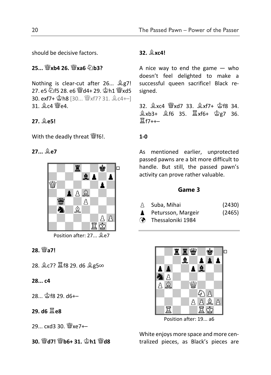should be decisive factors.

#### **25...** Q**xb4 26.** Q**xa6** N**b3?**

Nothing is clear-cut after 26...  $Qg7!$ 27. e5 公f5 28. e6 彎d4+ 29. \$h1 彎xd5 30. exf7+  $\mathbb{\hat{B}}$ h8 [30...  $\mathbb{\hat{B}}$ xf7? 31.  $\mathbb{\hat{B}}$ c4+–] 31. **2c4** <sup>W</sup>e4.

#### **27.** B**e5!**

With the deadly threat  $\mathbb{W}$ f6!.

**27...** B**e7**



Position after: 27...  $Q$ e7

**28. 曾a7!** 

28. இc7? ■f8 29. d6 இg5∞

**28... c4**

28... \$f8 29. d6+–

**29. d6** R**e8**

29... cxd3 30. *Wxe7+*-

**30.** Q**d7!** Q**b6+ 31.** K**h1** Q**d8** 

#### **32.** B**xc4!**

A nice way to end the game  $-$  who doesn't feel delighted to make a successful queen sacrifice! Black resigned.

32.  $\&$  xc4  $\&$  xd7 33.  $\&$  xf7+  $\&$  f8 34.  $\xi$ xb3+  $\xi$ f6 35.  $\xi$ xf6+  $\xi$ e7 36. Rf7++–

#### **1-0**

As mentioned earlier, unprotected passed pawns are a bit more difficult to handle. But still, the passed pawn's activity can prove rather valuable.

#### **Game 3**

| Δ | Suba, Mihai | (2430) |
|---|-------------|--------|
|---|-------------|--------|

- Petursson, Margeir (2465)
- Thessaloniki 1984



Position after: 19... a6

White enjoys more space and more centralized pieces, as Black's pieces are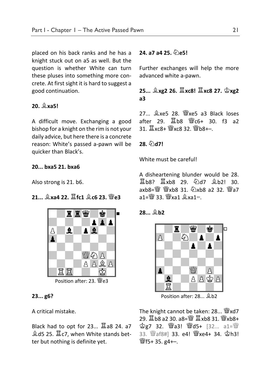placed on his back ranks and he has a knight stuck out on a5 as well. But the question is whether White can turn these pluses into something more concrete. At first sight it is hard to suggest a good continuation.

#### **20.** B**xa5!**

A difficult move. Exchanging a good bishop for a knight on the rim is not your daily advice, but here there is a concrete reason: White's passed a-pawn will be quicker than Black's.

#### **20... bxa5 21. bxa6**

Also strong is 21. b6.

**21... ③xa4 22. 耳fc1 ③c6 23. 幽e3** 



Position after: 23.  $\mathcal{W}$ e3

#### **23... g6?**

A critical mistake.

Black had to opt for  $23...$   $\Xi$  a8 24. a7  $\xi$ d5 25.  $\Xi$ c7, when White stands better but nothing is definite yet.

#### **24. a7 a4 25.** N**e5!**

Further exchanges will help the more advanced white a-pawn.

**25...** B**xg2 26.** R**xc8!** R**xc8 27.** K**xg2 a3**

 $27...$   $28.$   $28.$   $28.$   $29.$  a3 Black loses after 29. 国b8 營c6+ 30. f3 a2 31. 耳xc8+ 彎xc8 32. 彎b8+–.

**28.** N**d7!**

White must be carefull

A disheartening blunder would be 28. 置b8? 置xb8 29. ④d7 臭b2! 30.  $a$ xb8= $\ddot{w}$   $\dddot{w}$ xb8 31.  $\ddot{Q}$ xb8 a2 32.  $\dddot{w}$ a7  $a1 = \frac{W}{2}$  33.  $W$ xa1  $\frac{6}{5}$ xa1=.

#### **28...** B**b2**



Position after: 28... \$b2

The knight cannot be taken:  $28...$  Wxd7 29. 国b8 a2 30. a8=彎 耳xb8 31. 彎xb8+ 宫g7 32. 彎a3! 彎d5+ [32... a1=彎 33. Waf8#] 33. e4! Wxe4+ 34. \$h3!  $\frac{36}{2}$ f5+ 35. g4+–.